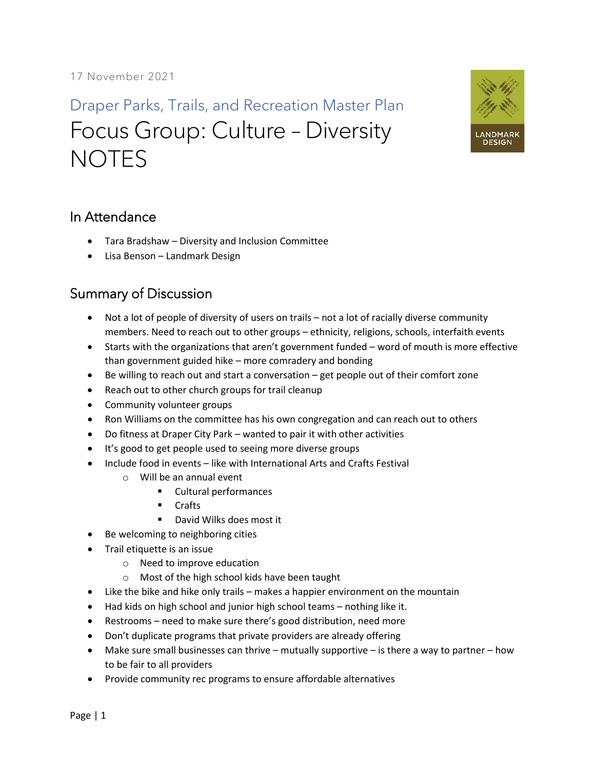Draper Parks, Trails, and Recreation Master Plan Focus Group: Culture – Diversity **NOTES** 



## In Attendance

- Tara Bradshaw Diversity and Inclusion Committee
- Lisa Benson Landmark Design

## Summary of Discussion

- Not a lot of people of diversity of users on trails not a lot of racially diverse community members. Need to reach out to other groups – ethnicity, religions, schools, interfaith events
- Starts with the organizations that aren't government funded word of mouth is more effective than government guided hike – more comradery and bonding
- Be willing to reach out and start a conversation get people out of their comfort zone
- Reach out to other church groups for trail cleanup
- Community volunteer groups
- Ron Williams on the committee has his own congregation and can reach out to others
- Do fitness at Draper City Park wanted to pair it with other activities
- It's good to get people used to seeing more diverse groups
- Include food in events like with International Arts and Crafts Festival
	- o Will be an annual event
		- Cultural performances
		- Crafts
		- David Wilks does most it
- Be welcoming to neighboring cities
- Trail etiquette is an issue
	- o Need to improve education
	- o Most of the high school kids have been taught
- Like the bike and hike only trails makes a happier environment on the mountain
- Had kids on high school and junior high school teams nothing like it.
- Restrooms need to make sure there's good distribution, need more
- Don't duplicate programs that private providers are already offering
- Make sure small businesses can thrive mutually supportive is there a way to partner how to be fair to all providers
- Provide community rec programs to ensure affordable alternatives